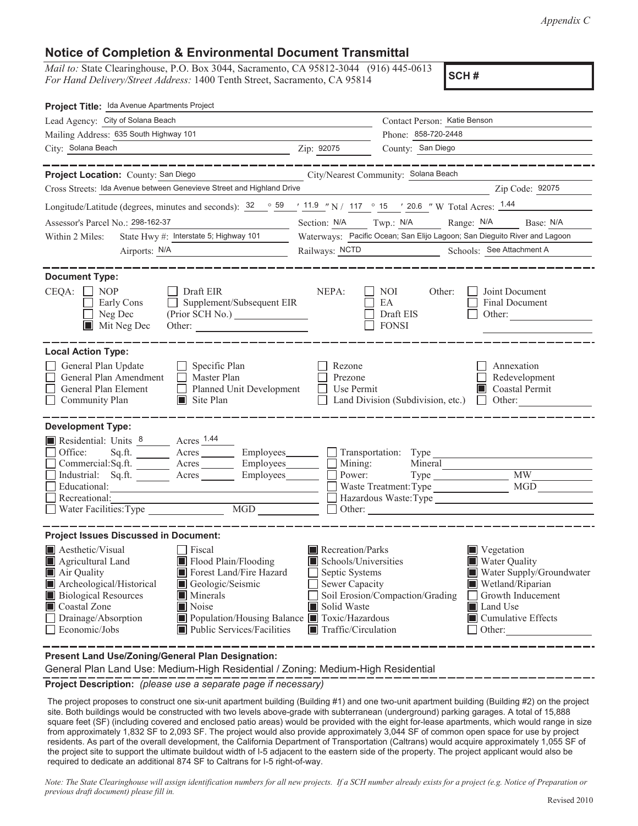*Appendix C*

#### **Notice of Completion & Environmental Document Transmittal**

*Mail to:* State Clearinghouse, P.O. Box 3044, Sacramento, CA 95812-3044 (916) 445-0613 *For Hand Delivery/Street Address:* 1400 Tenth Street, Sacramento, CA 95814

**SCH #**

| Project Title: Ida Avenue Apartments Project                                                                                                                                                                                                                                                                                                                                                                |                                                                                                                                                                                                                                                                                                                                            |  |  |  |
|-------------------------------------------------------------------------------------------------------------------------------------------------------------------------------------------------------------------------------------------------------------------------------------------------------------------------------------------------------------------------------------------------------------|--------------------------------------------------------------------------------------------------------------------------------------------------------------------------------------------------------------------------------------------------------------------------------------------------------------------------------------------|--|--|--|
| Lead Agency: City of Solana Beach                                                                                                                                                                                                                                                                                                                                                                           | Contact Person: Katie Benson                                                                                                                                                                                                                                                                                                               |  |  |  |
| Mailing Address: 635 South Highway 101                                                                                                                                                                                                                                                                                                                                                                      | Phone: 858-720-2448                                                                                                                                                                                                                                                                                                                        |  |  |  |
| City: Solana Beach<br><u> 1989 - Johann Stoff, amerikansk politiker (d. 1989)</u>                                                                                                                                                                                                                                                                                                                           | County: San Diego<br>Zip: 92075                                                                                                                                                                                                                                                                                                            |  |  |  |
|                                                                                                                                                                                                                                                                                                                                                                                                             |                                                                                                                                                                                                                                                                                                                                            |  |  |  |
| Project Location: County: San Diego                                                                                                                                                                                                                                                                                                                                                                         | City/Nearest Community: Solana Beach                                                                                                                                                                                                                                                                                                       |  |  |  |
| Cross Streets: Ida Avenue between Genevieve Street and Highland Drive                                                                                                                                                                                                                                                                                                                                       | Zip Code: 92075                                                                                                                                                                                                                                                                                                                            |  |  |  |
|                                                                                                                                                                                                                                                                                                                                                                                                             | Longitude/Latitude (degrees, minutes and seconds): $\frac{32}{59}$ $\frac{59}{11.9}$ "N / $\frac{117}{117}$ ° 15 ' 20.6 " W Total Acres: $\frac{1.44}{1.44}$                                                                                                                                                                               |  |  |  |
| Assessor's Parcel No.: 298-162-37                                                                                                                                                                                                                                                                                                                                                                           | Section: N/A Twp.: N/A<br>Range: N/A Base: N/A                                                                                                                                                                                                                                                                                             |  |  |  |
| State Hwy #: Interstate 5; Highway 101<br>Within 2 Miles:                                                                                                                                                                                                                                                                                                                                                   | Waterways: Pacific Ocean; San Elijo Lagoon; San Dieguito River and Lagoon                                                                                                                                                                                                                                                                  |  |  |  |
|                                                                                                                                                                                                                                                                                                                                                                                                             | Railways: NCTD Schools: See Attachment A                                                                                                                                                                                                                                                                                                   |  |  |  |
| <b>Document Type:</b><br>$CEQA: \Box NOP$<br>$\Box$ Draft EIR<br>Supplement/Subsequent EIR<br>Early Cons<br>$\Box$ Neg Dec<br>$\blacksquare$ Mit Neg Dec                                                                                                                                                                                                                                                    | NEPA:<br>Joint Document<br>NOI –<br>Other:<br>Final Document<br>EA<br>Draft EIS<br>Other: $\qquad \qquad$<br><b>FONSI</b>                                                                                                                                                                                                                  |  |  |  |
| <b>Local Action Type:</b><br>General Plan Update<br>$\Box$ Specific Plan<br>General Plan Amendment<br>$\Box$ Master Plan<br>General Plan Element<br>Planned Unit Development<br>Community Plan<br>$\blacksquare$ Site Plan                                                                                                                                                                                  | Rezone<br>Annexation<br>Prezone<br>Redevelopment<br>Use Permit<br>Coastal Permit<br>Land Division (Subdivision, etc.)<br>Other:<br>$\perp$                                                                                                                                                                                                 |  |  |  |
| <b>Development Type:</b><br>Residential: Units 8 Acres 1.44<br>Office:<br>Commercial:Sq.ft. ________ Acres _________ Employees ________ __ Mining:<br>Industrial: Sq.ft. _______ Acres ________ Employees________ $\Box$<br>Educational:<br>Recreational:<br>Water Facilities: Type                                                                                                                         | Sq.ft. ________ Acres _________ Employees________ __ Transportation: Type ____<br>Mineral<br>$\overline{\text{MW}}$<br>Power:<br><b>MGD</b><br>Waste Treatment: Type<br>Hazardous Waste:Type<br>Other:                                                                                                                                     |  |  |  |
| <b>Project Issues Discussed in Document:</b><br>Aesthetic/Visual<br>Fiscal<br>Agricultural Land<br>Flood Plain/Flooding<br>Forest Land/Fire Hazard<br>Air Quality<br>Archeological/Historical<br>Geologic/Seismic<br><b>Biological Resources</b><br>Minerals<br>Noise<br>■ Coastal Zone<br>Drainage/Absorption<br>Population/Housing Balance Toxic/Hazardous<br>Public Services/Facilities<br>Economic/Jobs | Recreation/Parks<br>$\blacksquare$ Vegetation<br>Schools/Universities<br><b>Water Quality</b><br>Septic Systems<br>Water Supply/Groundwater<br>Sewer Capacity<br>Wetland/Riparian<br>Soil Erosion/Compaction/Grading<br>Growth Inducement<br>Solid Waste<br>Land Use<br>$\blacksquare$ Cumulative Effects<br>Traffic/Circulation<br>Other: |  |  |  |

**Present Land Use/Zoning/General Plan Designation:**

General Plan Land Use: Medium-High Residential / Zoning: Medium-High Residential

**Project Description:** *(please use a separate page if necessary)*

 The project proposes to construct one six-unit apartment building (Building #1) and one two-unit apartment building (Building #2) on the project site. Both buildings would be constructed with two levels above-grade with subterranean (underground) parking garages. A total of 15,888 square feet (SF) (including covered and enclosed patio areas) would be provided with the eight for-lease apartments, which would range in size from approximately 1,832 SF to 2,093 SF. The project would also provide approximately 3,044 SF of common open space for use by project residents. As part of the overall development, the California Department of Transportation (Caltrans) would acquire approximately 1,055 SF of the project site to support the ultimate buildout width of I-5 adjacent to the eastern side of the property. The project applicant would also be required to dedicate an additional 874 SF to Caltrans for I-5 right-of-way.

*Note: The State Clearinghouse will assign identification numbers for all new projects. If a SCH number already exists for a project (e.g. Notice of Preparation or previous draft document) please fill in.*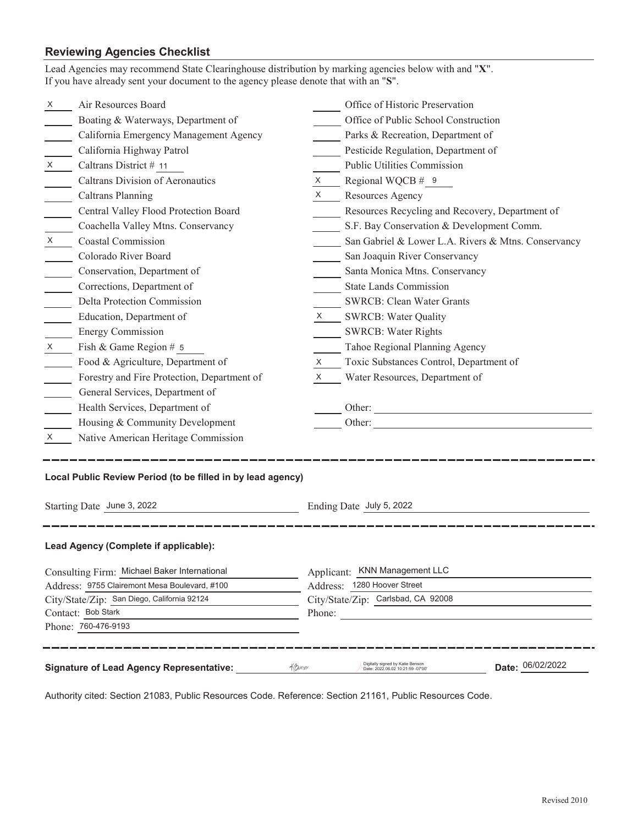### **Reviewing Agencies Checklist**

| Lead Agencies may recommend State Clearinghouse distribution by marking agencies below with and "X".<br>If you have already sent your document to the agency please denote that with an "S". |                                             |              |                                                     |  |  |  |
|----------------------------------------------------------------------------------------------------------------------------------------------------------------------------------------------|---------------------------------------------|--------------|-----------------------------------------------------|--|--|--|
| X                                                                                                                                                                                            | Air Resources Board                         |              | Office of Historic Preservation                     |  |  |  |
|                                                                                                                                                                                              | Boating & Waterways, Department of          |              | Office of Public School Construction                |  |  |  |
|                                                                                                                                                                                              | California Emergency Management Agency      |              | Parks & Recreation, Department of                   |  |  |  |
|                                                                                                                                                                                              | California Highway Patrol                   |              | Pesticide Regulation, Department of                 |  |  |  |
| X —                                                                                                                                                                                          | Caltrans District # 11                      |              | Public Utilities Commission                         |  |  |  |
|                                                                                                                                                                                              | Caltrans Division of Aeronautics            | $X \quad \_$ | Regional WQCB # 9                                   |  |  |  |
|                                                                                                                                                                                              | <b>Caltrans Planning</b>                    | $x \sim$     | Resources Agency                                    |  |  |  |
|                                                                                                                                                                                              | Central Valley Flood Protection Board       |              | Resources Recycling and Recovery, Department of     |  |  |  |
|                                                                                                                                                                                              | Coachella Valley Mtns. Conservancy          |              | S.F. Bay Conservation & Development Comm.           |  |  |  |
| $X \sim$                                                                                                                                                                                     | <b>Coastal Commission</b>                   |              | San Gabriel & Lower L.A. Rivers & Mtns. Conservancy |  |  |  |
|                                                                                                                                                                                              | Colorado River Board                        |              | San Joaquin River Conservancy                       |  |  |  |
|                                                                                                                                                                                              | Conservation, Department of                 |              | Santa Monica Mtns. Conservancy                      |  |  |  |
|                                                                                                                                                                                              | Corrections, Department of                  |              | <b>State Lands Commission</b>                       |  |  |  |
|                                                                                                                                                                                              | Delta Protection Commission                 |              | <b>SWRCB: Clean Water Grants</b>                    |  |  |  |
|                                                                                                                                                                                              | Education, Department of                    |              | X SWRCB: Water Quality                              |  |  |  |
|                                                                                                                                                                                              | <b>Energy Commission</b>                    |              | <b>SWRCB: Water Rights</b>                          |  |  |  |
| $X \sim$                                                                                                                                                                                     | Fish & Game Region # 5                      |              | Tahoe Regional Planning Agency                      |  |  |  |
|                                                                                                                                                                                              | Food & Agriculture, Department of           | X.           | Toxic Substances Control, Department of             |  |  |  |
|                                                                                                                                                                                              | Forestry and Fire Protection, Department of | X            | Water Resources, Department of                      |  |  |  |
|                                                                                                                                                                                              | General Services, Department of             |              |                                                     |  |  |  |
|                                                                                                                                                                                              | Health Services, Department of              |              |                                                     |  |  |  |
|                                                                                                                                                                                              | Housing & Community Development             |              |                                                     |  |  |  |
| $\mathsf{X}$                                                                                                                                                                                 | Native American Heritage Commission         |              |                                                     |  |  |  |
| Local Public Review Period (to be filled in by lead agency)<br>Starting Date June 3, 2022<br>Ending Date July 5, 2022                                                                        |                                             |              |                                                     |  |  |  |
| Lead Agency (Complete if applicable):                                                                                                                                                        |                                             |              |                                                     |  |  |  |
| Consulting Firm: Michael Baker International                                                                                                                                                 |                                             |              | Applicant: KNN Management LLC                       |  |  |  |
| Address: 9755 Clairemont Mesa Boulevard, #100                                                                                                                                                |                                             |              | Address: 1280 Hoover Street                         |  |  |  |
| City/State/Zip: San Diego, California 92124<br>Contact: Bob Stark                                                                                                                            |                                             |              | City/State/Zip: Carlsbad, CA 92008                  |  |  |  |
|                                                                                                                                                                                              | Phone: 760-476-9193                         | Phone:       |                                                     |  |  |  |
|                                                                                                                                                                                              |                                             |              |                                                     |  |  |  |
| Digitally signed by Katie Benson<br>Date: 06/02/2022<br>Khunson<br><b>Signature of Lead Agency Representative:</b><br>Date: 2022.06.02 10:21:59 -07'00'                                      |                                             |              |                                                     |  |  |  |

Authority cited: Section 21083, Public Resources Code. Reference: Section 21161, Public Resources Code.